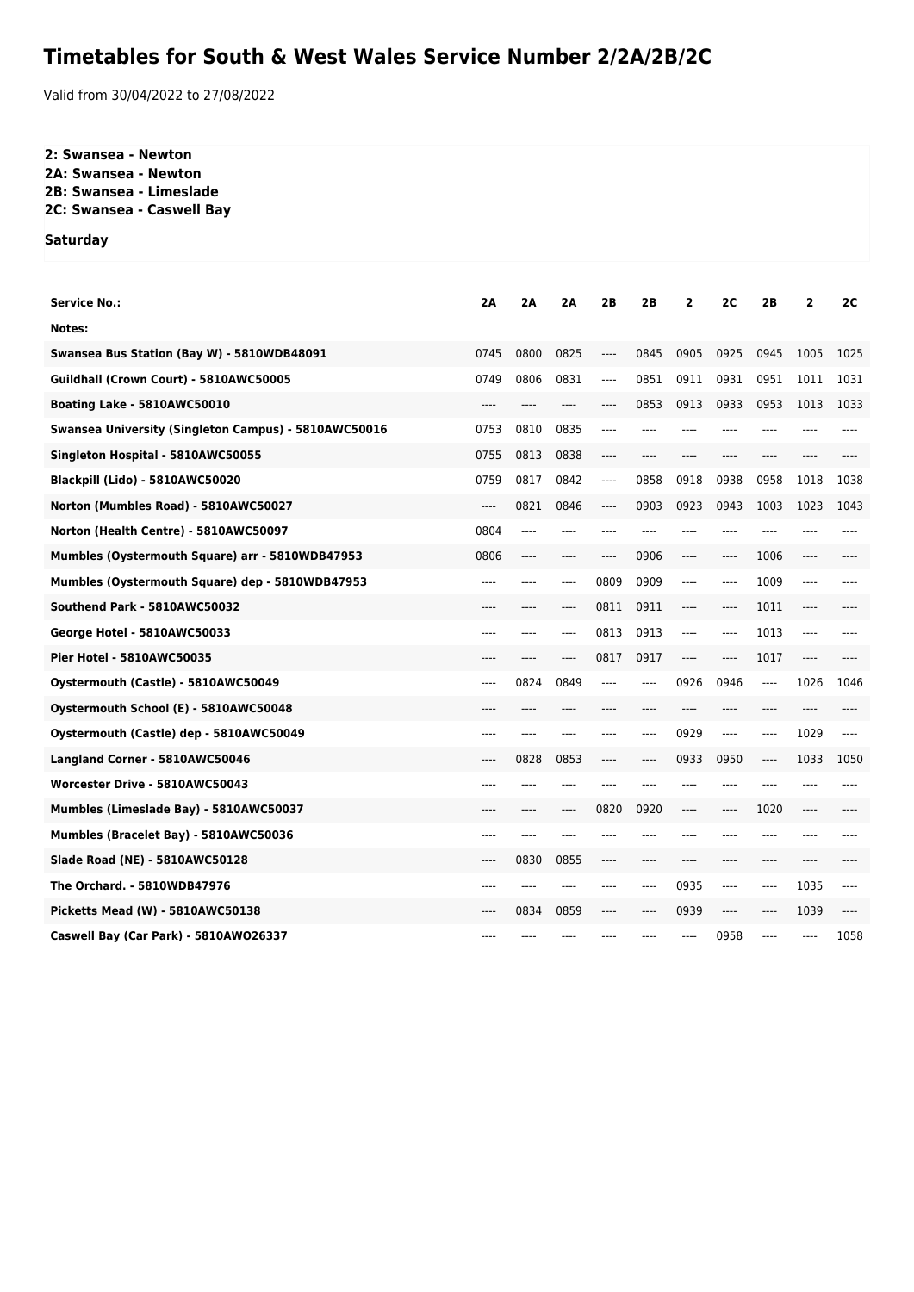## **Timetables for South & West Wales Service Number 2/2A/2B/2C**

Valid from 30/04/2022 to 27/08/2022

## **2: Swansea - Newton 2A: Swansea - Newton**

**2B: Swansea - Limeslade**

**2C: Swansea - Caswell Bay**

**Saturday**

| <b>Service No.:</b>                                  | 2A      | 2A   | 2A    | 2B    | 2B   | 2     | 2C    | 2B    | $\mathbf{2}$ | 2C   |
|------------------------------------------------------|---------|------|-------|-------|------|-------|-------|-------|--------------|------|
| Notes:                                               |         |      |       |       |      |       |       |       |              |      |
| Swansea Bus Station (Bay W) - 5810WDB48091           | 0745    | 0800 | 0825  | ----  | 0845 | 0905  | 0925  | 0945  | 1005         | 1025 |
| Guildhall (Crown Court) - 5810AWC50005               | 0749    | 0806 | 0831  | $---$ | 0851 | 0911  | 0931  | 0951  | 1011         | 1031 |
| Boating Lake - 5810AWC50010                          |         |      | ----  | ----  | 0853 | 0913  | 0933  | 0953  | 1013         | 1033 |
| Swansea University (Singleton Campus) - 5810AWC50016 | 0753    | 0810 | 0835  | $---$ | ---- | $---$ | $---$ | $---$ |              |      |
| Singleton Hospital - 5810AWC50055                    | 0755    | 0813 | 0838  | ----  |      |       | ----  | ----  | ----         |      |
| Blackpill (Lido) - 5810AWC50020                      | 0759    | 0817 | 0842  | ----  | 0858 | 0918  | 0938  | 0958  | 1018         | 1038 |
| Norton (Mumbles Road) - 5810AWC50027                 | ----    | 0821 | 0846  | ----  | 0903 | 0923  | 0943  | 1003  | 1023         | 1043 |
| Norton (Health Centre) - 5810AWC50097                | 0804    | ---- | ----  | ----  |      | ----  | ----  |       |              |      |
| Mumbles (Oystermouth Square) arr - 5810WDB47953      | 0806    | ---- |       | ----  | 0906 | ----  | ----  | 1006  | ----         |      |
| Mumbles (Oystermouth Square) dep - 5810WDB47953      | ----    | ---- | ----  | 0809  | 0909 | $---$ | $---$ | 1009  | $---$        |      |
| Southend Park - 5810AWC50032                         |         |      | ----  | 0811  | 0911 | ----  | ----  | 1011  | ----         |      |
| George Hotel - 5810AWC50033                          | ----    | ---- | $---$ | 0813  | 0913 | ----  | $---$ | 1013  | ----         |      |
| <b>Pier Hotel - 5810AWC50035</b>                     | ----    | ---- | $---$ | 0817  | 0917 | $---$ | ----  | 1017  | $---$        |      |
| Oystermouth (Castle) - 5810AWC50049                  | $-----$ | 0824 | 0849  | ----  | ---- | 0926  | 0946  | $---$ | 1026         | 1046 |
| Oystermouth School (E) - 5810AWC50048                | ----    | ---- | ----  | ----  | ---- | $---$ | ----  | ----  | $---$        |      |
| Oystermouth (Castle) dep - 5810AWC50049              | ----    |      |       | ----  | ---- | 0929  | $---$ | ----  | 1029         | ---- |
| Langland Corner - 5810AWC50046                       | $---$   | 0828 | 0853  | ----  | ---- | 0933  | 0950  | ----  | 1033         | 1050 |
| Worcester Drive - 5810AWC50043                       | ----    |      |       | ----  |      | ----  | ----  | ----  |              |      |
| Mumbles (Limeslade Bay) - 5810AWC50037               | $---$   | ---- | ----  | 0820  | 0920 | $---$ | $---$ | 1020  | $---$        |      |
| Mumbles (Bracelet Bay) - 5810AWC50036                | ----    | ---- | ----  |       |      | ----  | ----  | ----  | ----         |      |
| Slade Road (NE) - 5810AWC50128                       | $---$   | 0830 | 0855  | $---$ | ---- | $---$ | $---$ | ----  | $---$        |      |
| The Orchard. - 5810WDB47976                          | ----    |      | ----  | ----  | ---- | 0935  | ----  | ----  | 1035         | ---- |
| Picketts Mead (W) - 5810AWC50138                     | $---$   | 0834 | 0859  | ----  | ---- | 0939  | $---$ | ----  | 1039         | ---- |
| Caswell Bay (Car Park) - 5810AWO26337                | ----    |      |       |       |      | ----  | 0958  | ----  | ----         | 1058 |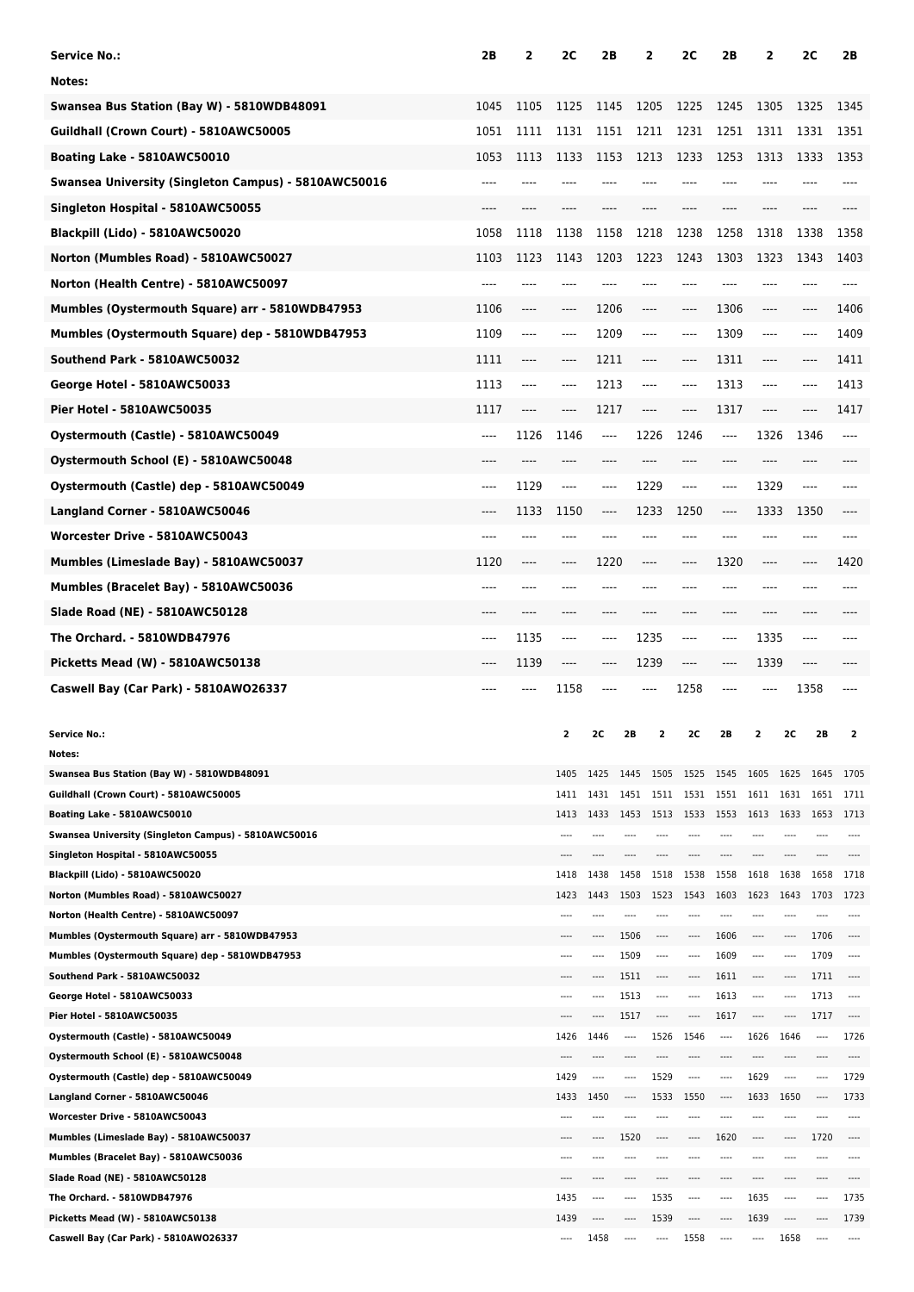| <b>Service No.:</b>                                                           | 2B    | 2        | 2C       | 2Β                           |          | 2             | 2C   | 2Β                               | 2                                                    |              | 2C           | 2В           |
|-------------------------------------------------------------------------------|-------|----------|----------|------------------------------|----------|---------------|------|----------------------------------|------------------------------------------------------|--------------|--------------|--------------|
| Notes:                                                                        |       |          |          |                              |          |               |      |                                  |                                                      |              |              |              |
| Swansea Bus Station (Bay W) - 5810WDB48091                                    | 1045  | 1105     | 1125     | 1145                         |          | 1205          | 1225 | 1245                             | 1305                                                 |              | 1325         | 1345         |
| Guildhall (Crown Court) - 5810AWC50005                                        | 1051  | 1111     | 1131     | 1151                         |          | 1211          | 1231 | 1251                             | 1311                                                 |              | 1331         | 1351         |
| Boating Lake - 5810AWC50010                                                   | 1053  | 1113     | 1133     | 1153                         |          | 1213          | 1233 | 1253                             | 1313                                                 |              | 1333         | 1353         |
| Swansea University (Singleton Campus) - 5810AWC50016                          | ----  |          |          |                              |          |               |      |                                  |                                                      |              |              |              |
| Singleton Hospital - 5810AWC50055                                             |       |          |          |                              |          |               |      |                                  |                                                      |              |              |              |
| Blackpill (Lido) - 5810AWC50020                                               | 1058  | 1118     | 1138     | 1158                         |          | 1218          | 1238 | 1258                             | 1318                                                 |              | 1338         | 1358         |
| Norton (Mumbles Road) - 5810AWC50027                                          | 1103  | 1123     | 1143     | 1203                         |          | 1223          | 1243 | 1303                             | 1323                                                 |              | 1343         | 1403         |
| Norton (Health Centre) - 5810AWC50097                                         |       |          |          |                              |          |               |      |                                  |                                                      |              |              |              |
|                                                                               |       |          |          |                              |          |               |      |                                  |                                                      |              |              |              |
| Mumbles (Oystermouth Square) arr - 5810WDB47953                               | 1106  | $\cdots$ | ----     | 1206                         |          | $---$         | ---- | 1306                             | ----                                                 |              | ----         | 1406         |
| Mumbles (Oystermouth Square) dep - 5810WDB47953                               | 1109  | ----     | ----     | 1209                         |          | $-----$       | ---- | 1309                             | $\hspace{1.5cm} \textbf{---}$                        |              | ----         | 1409         |
| Southend Park - 5810AWC50032                                                  | 1111  | ----     | ----     | 1211                         |          | ----          | ---- | 1311                             | $\hspace{0.05cm}\rule{0.7pt}{0.1ex}\hspace{0.025cm}$ |              | ----         | 1411         |
| George Hotel - 5810AWC50033                                                   | 1113  | ----     | ----     | 1213                         |          | $---$         | ---- | 1313                             | $\hspace{1.5cm} \textbf{---}$                        |              | ----         | 1413         |
| Pier Hotel - 5810AWC50035                                                     | 1117  | ----     | ----     | 1217                         |          | ----          | ---- | 1317                             | $-----$                                              |              |              | 1417         |
| Oystermouth (Castle) - 5810AWC50049                                           | $---$ | 1126     | 1146     | ----                         |          | 1226          | 1246 | $\cdots$                         | 1326                                                 |              | 1346         | ----         |
| Oystermouth School (E) - 5810AWC50048                                         | $---$ | ----     | ----     | ----                         |          |               | ---- | ----                             | $---$                                                |              | ----         |              |
| Oystermouth (Castle) dep - 5810AWC50049                                       | $---$ | 1129     | ----     | ----                         |          | 1229          | ---- | ----                             | 1329                                                 |              | ----         | ----         |
| Langland Corner - 5810AWC50046                                                | ----  | 1133     | 1150     | ----                         |          | 1233          | 1250 | ----                             | 1333                                                 |              | 1350         |              |
| Worcester Drive - 5810AWC50043                                                | ----  | ----     | ----     | ----                         |          |               | ---- | ----                             | $---$                                                |              | ----         |              |
| Mumbles (Limeslade Bay) - 5810AWC50037                                        | 1120  | ----     | ----     | 1220                         |          | ----          | ---- | 1320                             | $\hspace{1.5cm} \textbf{---}$                        |              | ----         | 1420         |
|                                                                               |       |          |          |                              |          |               |      |                                  |                                                      |              |              |              |
| Mumbles (Bracelet Bay) - 5810AWC50036                                         | ----  |          | ----     |                              |          |               |      |                                  |                                                      |              |              |              |
| Slade Road (NE) - 5810AWC50128                                                | ----  |          | ----     | ----                         |          |               |      | ----                             | $---$                                                |              | ----         |              |
| The Orchard. - 5810WDB47976                                                   | ----  | 1135     | ----     | $---$                        |          | 1235          | ---- | ----                             | 1335                                                 |              | ----         | ----         |
| Picketts Mead (W) - 5810AWC50138                                              | ----  | 1139     | $\cdots$ | ----                         |          | 1239          | ---- | ----                             | 1339                                                 |              | ----         |              |
| Caswell Bay (Car Park) - 5810AW026337                                         | ---   |          | 1158     |                              |          |               | 1258 | ----                             |                                                      |              | 1358         |              |
|                                                                               |       |          |          |                              |          |               |      |                                  |                                                      |              |              |              |
| <b>Service No.:</b>                                                           |       |          | 2        | 2C                           | 2B       |               | 2C   | 2B                               |                                                      | 2C           | 2B           |              |
| Notes:<br>Swansea Bus Station (Bay W) - 5810WDB48091                          |       |          | 1405     |                              |          |               |      |                                  |                                                      |              |              |              |
| Guildhall (Crown Court) - 5810AWC50005                                        |       |          | 1411     | 1425<br>1431                 | 1451     | 1511          | 1531 | 1445 1505 1525 1545 1605<br>1551 | 1611                                                 | 1625<br>1631 | 1645<br>1651 | 1705<br>1711 |
| Boating Lake - 5810AWC50010                                                   |       |          | 1413     | 1433                         | 1453     | 1513          | 1533 | 1553                             | 1613                                                 | 1633         | 1653         | 1713         |
| Swansea University (Singleton Campus) - 5810AWC50016                          |       |          |          |                              |          |               |      |                                  |                                                      |              |              |              |
| Singleton Hospital - 5810AWC50055                                             |       |          | ----     | ----                         |          | ----          |      | ----                             |                                                      | $---$        |              | ----         |
| Blackpill (Lido) - 5810AWC50020                                               |       |          | 1418     | 1438                         | 1458     | 1518          | 1538 | 1558                             | 1618                                                 | 1638         | 1658         | 1718         |
| Norton (Mumbles Road) - 5810AWC50027<br>Norton (Health Centre) - 5810AWC50097 |       |          | 1423     | 1443                         | 1503     | 1523          | 1543 | 1603                             | 1623                                                 | 1643         | 1703         | 1723         |
| Mumbles (Oystermouth Square) arr - 5810WDB47953                               |       |          | ----     | ----                         | 1506     | ----          | ---- | 1606                             | ----                                                 | ----         | 1706         | $---$        |
| Mumbles (Oystermouth Square) dep - 5810WDB47953                               |       |          | $---$    | ----                         | 1509     | $\sim$ $\sim$ | ---- | 1609                             | $---$                                                | $---$        | 1709         | $---$        |
| Southend Park - 5810AWC50032                                                  |       |          | ----     | ----                         | 1511     | $\cdots$      | ---- | 1611                             | ----                                                 | ----         | 1711         | ----         |
| George Hotel - 5810AWC50033                                                   |       |          |          | ----                         | 1513     | ----          | ---- | 1613                             | ----                                                 | ----         | 1713         | $---$        |
| Pier Hotel - 5810AWC50035                                                     |       |          |          | ----                         | 1517     | $---$         |      | 1617                             |                                                      |              | 1717         |              |
| Oystermouth (Castle) - 5810AWC50049                                           |       |          | 1426     | 1446                         | $\cdots$ | 1526          | 1546 | $\cdots$                         | 1626                                                 | 1646         | ----         | 1726         |
| Oystermouth School (E) - 5810AWC50048                                         |       |          | 1429     | ----<br>$\sim$ $\sim$ $\sim$ |          |               | ---- | ----                             |                                                      | $\cdots$     | ----         | 1729         |
| Oystermouth (Castle) dep - 5810AWC50049<br>Langland Corner - 5810AWC50046     |       |          | 1433     | 1450                         |          | 1529<br>1533  | 1550 | ----                             | 1629<br>1633                                         | 1650         |              | 1733         |
| Worcester Drive - 5810AWC50043                                                |       |          | $---$    | ----                         |          | ----          |      |                                  |                                                      | $---$        |              | ----         |
| Mumbles (Limeslade Bay) - 5810AWC50037                                        |       |          |          | ----                         | 1520     | ----          | ---- | 1620                             | ----                                                 | ----         | 1720         |              |
| Mumbles (Bracelet Bay) - 5810AWC50036                                         |       |          |          | ----                         |          |               |      |                                  |                                                      |              |              |              |
| Slade Road (NE) - 5810AWC50128                                                |       |          |          |                              |          |               |      |                                  |                                                      |              |              |              |
| The Orchard. - 5810WDB47976                                                   |       |          | 1435     | ----                         | ----     | 1535          | ---- | ----                             | 1635                                                 | $---$        | ----         | 1735         |
| Picketts Mead (W) - 5810AWC50138                                              |       |          | 1439     | ----                         |          | 1539          |      |                                  | 1639                                                 |              |              | 1739         |
| Caswell Bay (Car Park) - 5810AWO26337                                         |       |          | $\cdots$ | 1458                         | $---$    | ----          | 1558 | ----                             | $\cdots$                                             | 1658         | ----         | $\cdots$     |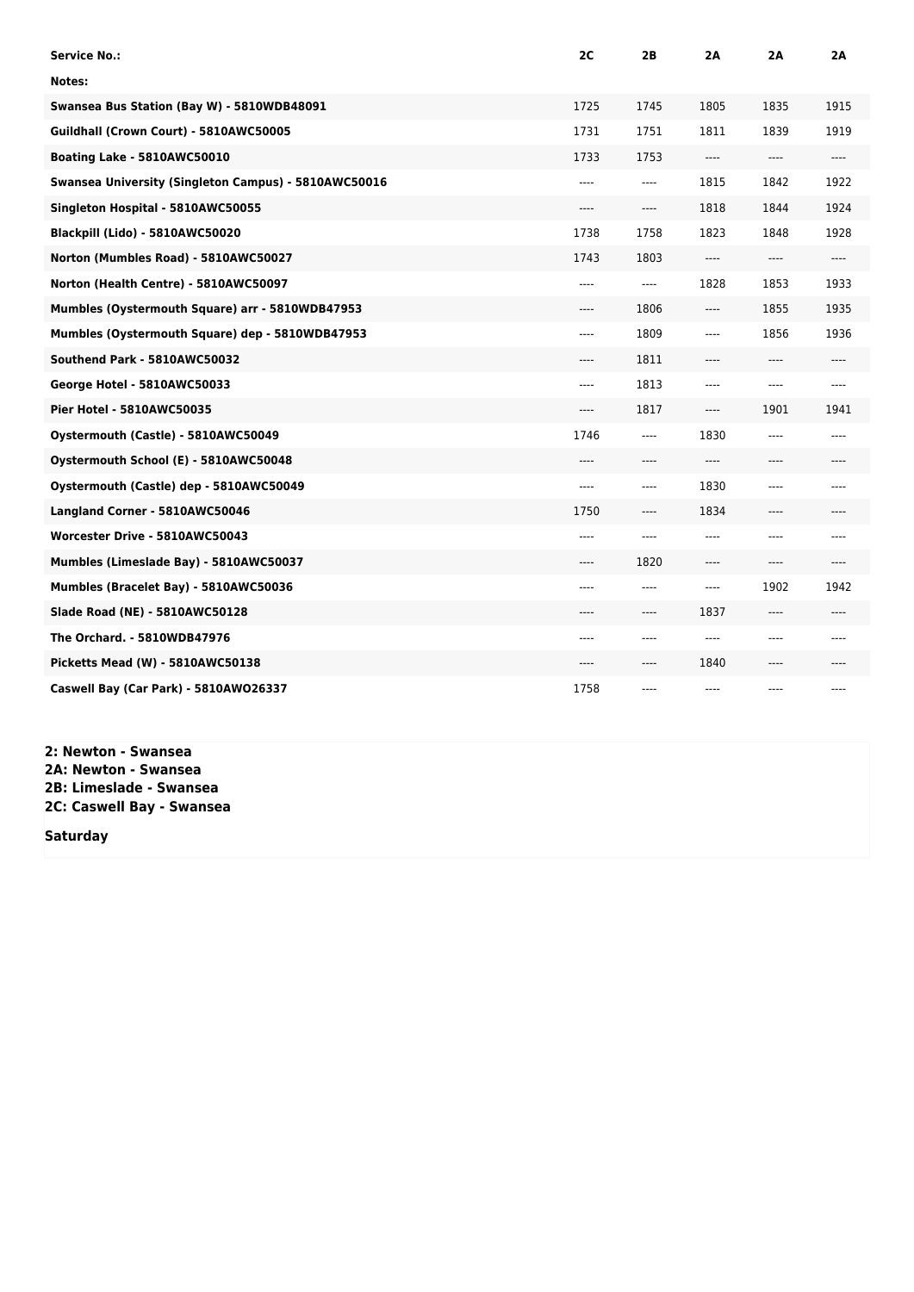| <b>Service No.:</b>                                  | 2C    | 2Β                            | 2A                            | 2Α   | 2Α   |
|------------------------------------------------------|-------|-------------------------------|-------------------------------|------|------|
| Notes:                                               |       |                               |                               |      |      |
| Swansea Bus Station (Bay W) - 5810WDB48091           | 1725  | 1745                          | 1805                          | 1835 | 1915 |
| Guildhall (Crown Court) - 5810AWC50005               | 1731  | 1751                          | 1811                          | 1839 | 1919 |
| Boating Lake - 5810AWC50010                          | 1733  | 1753                          | ----                          | ---- | ---- |
| Swansea University (Singleton Campus) - 5810AWC50016 | $---$ | $---$                         | 1815                          | 1842 | 1922 |
| Singleton Hospital - 5810AWC50055                    | ----  | ----                          | 1818                          | 1844 | 1924 |
| Blackpill (Lido) - 5810AWC50020                      | 1738  | 1758                          | 1823                          | 1848 | 1928 |
| Norton (Mumbles Road) - 5810AWC50027                 | 1743  | 1803                          | $\cdots$                      | ---- | ---- |
| Norton (Health Centre) - 5810AWC50097                | ----  | $\cdots$                      | 1828                          | 1853 | 1933 |
| Mumbles (Oystermouth Square) arr - 5810WDB47953      | ----  | 1806                          | $---$                         | 1855 | 1935 |
| Mumbles (Oystermouth Square) dep - 5810WDB47953      | ----  | 1809                          | $-----$                       | 1856 | 1936 |
| Southend Park - 5810AWC50032                         | $---$ | 1811                          | $---$                         | ---- | ---- |
| George Hotel - 5810AWC50033                          | ----  | 1813                          | $---$                         | ---- | ---- |
| Pier Hotel - 5810AWC50035                            | $---$ | 1817                          | $\cdots$                      | 1901 | 1941 |
| Oystermouth (Castle) - 5810AWC50049                  | 1746  | ----                          | 1830                          | ---- | ---- |
| Oystermouth School (E) - 5810AWC50048                | ----  | ----                          | $---$                         | ---- | ---- |
| Oystermouth (Castle) dep - 5810AWC50049              | $---$ | ----                          | 1830                          | ---- | ---- |
| Langland Corner - 5810AWC50046                       | 1750  | ----                          | 1834                          | ---- |      |
| Worcester Drive - 5810AWC50043                       | $---$ | $---$                         | $---$                         | ---- | ---- |
| Mumbles (Limeslade Bay) - 5810AWC50037               | ----  | 1820                          | $---$                         | ---- | ---- |
| Mumbles (Bracelet Bay) - 5810AWC50036                | $---$ | $---$                         | $\hspace{1.5cm} \textbf{---}$ | 1902 | 1942 |
| Slade Road (NE) - 5810AWC50128                       | ----  | $\hspace{1.5cm} \textbf{---}$ | 1837                          | ---- | ---- |
| The Orchard. - 5810WDB47976                          | ----  | ----                          | ----                          | ---- | ---- |
| Picketts Mead (W) - 5810AWC50138                     | ----  | ----                          | 1840                          | ---- |      |
| Caswell Bay (Car Park) - 5810AW026337                | 1758  | ----                          | ----                          | ---- |      |

**2: Newton - Swansea 2A: Newton - Swansea 2B: Limeslade - Swansea 2C: Caswell Bay - Swansea**

**Saturday**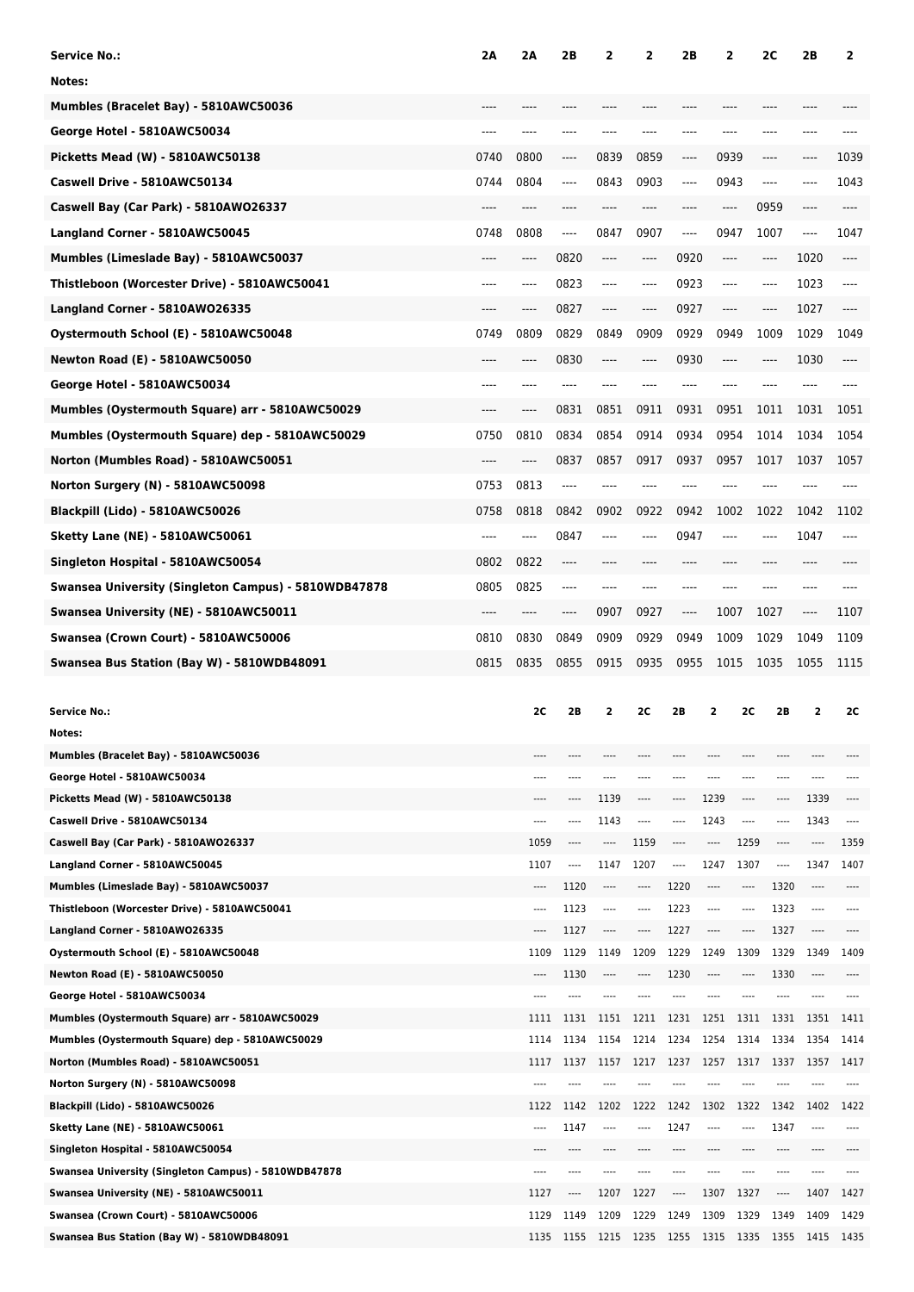| <b>Service No.:</b>                                                                | 2Α   | 2Α            | 2Β           | 2             | 2                        | 2Β           | 2            |                 | 2C           | 2Β            | 2            |
|------------------------------------------------------------------------------------|------|---------------|--------------|---------------|--------------------------|--------------|--------------|-----------------|--------------|---------------|--------------|
| Notes:                                                                             |      |               |              |               |                          |              |              |                 |              |               |              |
| Mumbles (Bracelet Bay) - 5810AWC50036                                              |      |               |              |               |                          |              |              |                 |              |               |              |
| George Hotel - 5810AWC50034                                                        | ---- | ----          | ----         |               |                          | ----         | ----         |                 | ----         | ----          |              |
| Picketts Mead (W) - 5810AWC50138                                                   | 0740 | 0800          | ----         | 0839          | 0859                     | ----         | 0939         |                 | ----         | ----          | 1039         |
|                                                                                    | 0744 |               |              |               |                          |              |              |                 |              |               |              |
| Caswell Drive - 5810AWC50134                                                       |      | 0804          | ----         | 0843          | 0903                     | ----         | 0943         |                 | ----         |               | 1043         |
| Caswell Bay (Car Park) - 5810AWO26337                                              |      | ----          |              | ----          |                          |              | ----         |                 | 0959         | ----          | ----         |
| Langland Corner - 5810AWC50045                                                     | 0748 | 0808          | ----         | 0847          | 0907                     | ----         | 0947         |                 | 1007         | ----          | 1047         |
| Mumbles (Limeslade Bay) - 5810AWC50037                                             | ---- | ----          | 0820         | ----          | ----                     | 0920         | ----         |                 | ----         | 1020          | ----         |
| Thistleboon (Worcester Drive) - 5810AWC50041                                       | ---- | ----          | 0823         | ----          | ----                     | 0923         | ----         |                 | ----         | 1023          | ----         |
| Langland Corner - 5810AWO26335                                                     | ---- | ----          | 0827         | ----          | ----                     | 0927         | ----         |                 | ----         | 1027          | ----         |
| Oystermouth School (E) - 5810AWC50048                                              | 0749 | 0809          | 0829         | 0849          | 0909                     | 0929         | 0949         |                 | 1009         | 1029          | 1049         |
| <b>Newton Road (E) - 5810AWC50050</b>                                              | ---- | ----          | 0830         | ----          | ----                     | 0930         | ----         |                 | ----         | 1030          | ----         |
| George Hotel - 5810AWC50034                                                        | ---- | ----          | ----         | ----          | ----                     | ----         | ----         |                 | ----         | ----          |              |
| Mumbles (Oystermouth Square) arr - 5810AWC50029                                    | ---- | ----          | 0831         | 0851          | 0911                     | 0931         | 0951         |                 | 1011         | 1031          | 1051         |
| Mumbles (Oystermouth Square) dep - 5810AWC50029                                    | 0750 | 0810          | 0834         | 0854          | 0914                     | 0934         | 0954         |                 | 1014         | 1034          | 1054         |
| Norton (Mumbles Road) - 5810AWC50051                                               | ---- | ----          | 0837         | 0857          | 0917                     | 0937         | 0957         |                 | 1017         | 1037          | 1057         |
|                                                                                    | 0753 | 0813          | ----         |               |                          |              |              |                 |              |               |              |
| Norton Surgery (N) - 5810AWC50098                                                  |      |               |              |               |                          |              |              |                 |              |               |              |
| Blackpill (Lido) - 5810AWC50026                                                    | 0758 | 0818          | 0842         | 0902          | 0922                     | 0942         | 1002         |                 | 1022         | 1042          | 1102         |
| Sketty Lane (NE) - 5810AWC50061                                                    | ---- | ----          | 0847         | ----          | ----                     | 0947         | ----         |                 | ----         | 1047          | ----         |
| Singleton Hospital - 5810AWC50054                                                  | 0802 | 0822          | ----         | ----          | ----                     | ----         | ----         |                 | ----         | ----          |              |
| Swansea University (Singleton Campus) - 5810WDB47878                               | 0805 | 0825          | $-- -$       | ----          |                          | ----         | ----         |                 | ----         | ----          |              |
| Swansea University (NE) - 5810AWC50011                                             | ---- | ----          | ----         | 0907          | 0927                     | ----         | 1007         |                 | 1027         | ----          | 1107         |
| Swansea (Crown Court) - 5810AWC50006                                               | 0810 | 0830          | 0849         | 0909          | 0929                     | 0949         | 1009         |                 | 1029         | 1049          | 1109         |
| Swansea Bus Station (Bay W) - 5810WDB48091                                         | 0815 | 0835          | 0855         | 0915          | 0935                     | 0955         | 1015         |                 | 1035         | 1055          | 1115         |
|                                                                                    |      |               |              |               |                          |              |              |                 |              |               |              |
|                                                                                    |      |               |              |               |                          |              |              |                 |              |               |              |
| <b>Service No.:</b>                                                                |      | 2C            | 2B           | 2             | <b>2C</b>                | 2B           | 2            | 2C              | 2B           | 2             | 2C           |
| Notes:                                                                             |      |               |              |               |                          |              |              |                 |              |               |              |
| Mumbles (Bracelet Bay) - 5810AWC50036                                              |      |               |              |               | ----                     |              |              |                 |              |               |              |
| George Hotel - 5810AWC50034                                                        |      | ----          | ----         | ----          | ----                     | $- - - -$    | ----         | ----            | ----         | ----          |              |
| Picketts Mead (W) - 5810AWC50138                                                   |      | $- - - -$     | ----         | 1139          | $^{***}$                 | ----         | 1239         | $\cdots$        | ----         | 1339          | $---$        |
| Caswell Drive - 5810AWC50134                                                       |      | $---$         | ----         | 1143          | $\overline{\phantom{a}}$ | ----         | 1243         | ----            | ----         | 1343          | $\cdots$     |
| Caswell Bay (Car Park) - 5810AW026337                                              |      | 1059          | ----         | ----          | 1159                     | ----         | ----         | 1259            | ----         | ----          | 1359         |
| Langland Corner - 5810AWC50045                                                     |      | 1107          | ----         | 1147          | 1207                     | ----         | 1247         | 1307            | ----         | 1347          | 1407         |
| Mumbles (Limeslade Bay) - 5810AWC50037                                             |      | ----<br>$---$ | 1120         | ----<br>$---$ | ----<br>$\cdots$         | 1220         | ----         | ----<br>$-----$ | 1320         | ----<br>$---$ | $---$        |
| Thistleboon (Worcester Drive) - 5810AWC50041                                       |      |               | 1123<br>1127 | ----          | ----                     | 1223<br>1227 | ----         | ----            | 1323<br>1327 | ----          |              |
| Langland Corner - 5810AWO26335<br>Oystermouth School (E) - 5810AWC50048            |      | 1109          | 1129         | 1149          | 1209                     | 1229         | 1249         | 1309            | 1329         | 1349          | 1409         |
| <b>Newton Road (E) - 5810AWC50050</b>                                              |      |               | 1130         | ----          | ----                     | 1230         |              | ----            | 1330         | ----          |              |
| George Hotel - 5810AWC50034                                                        |      | ----          | ----         |               | ----                     |              |              | ----            |              | ----          | ----         |
| Mumbles (Oystermouth Square) arr - 5810AWC50029                                    |      | 1111          | 1131         | 1151          | 1211                     | 1231         | 1251         | 1311            | 1331         | 1351          | 1411         |
| Mumbles (Oystermouth Square) dep - 5810AWC50029                                    |      | 1114          | 1134         | 1154          | 1214                     | 1234         | 1254         | 1314            | 1334         | 1354          | 1414         |
| Norton (Mumbles Road) - 5810AWC50051                                               |      | 1117          | 1137         | 1157          | 1217                     | 1237         | 1257         | 1317            | 1337         | 1357          | 1417         |
| Norton Surgery (N) - 5810AWC50098                                                  |      |               |              | ----          | ----                     |              |              |                 |              | ----          |              |
| Blackpill (Lido) - 5810AWC50026                                                    |      | 1122          | 1142         | 1202          | 1222                     | 1242         | 1302         | 1322            | 1342         | 1402          | 1422         |
| <b>Sketty Lane (NE) - 5810AWC50061</b>                                             |      | $---$         | 1147         | ----          | ----                     | 1247         |              | ----            | 1347         | ----          |              |
| Singleton Hospital - 5810AWC50054                                                  |      |               | ----         |               | ----                     | ----         |              | ----            |              | ----          |              |
| Swansea University (Singleton Campus) - 5810WDB47878                               |      | $- - - -$     | ----         |               | ----                     |              |              |                 |              | ----          |              |
| Swansea University (NE) - 5810AWC50011                                             |      | 1127          | ----         | 1207          | 1227                     | ----         | 1307         | 1327            | ----         | 1407          | 1427         |
| Swansea (Crown Court) - 5810AWC50006<br>Swansea Bus Station (Bay W) - 5810WDB48091 |      | 1129<br>1135  | 1149<br>1155 | 1209<br>1215  | 1229<br>1235             | 1249<br>1255 | 1309<br>1315 | 1329<br>1335    | 1349<br>1355 | 1409<br>1415  | 1429<br>1435 |